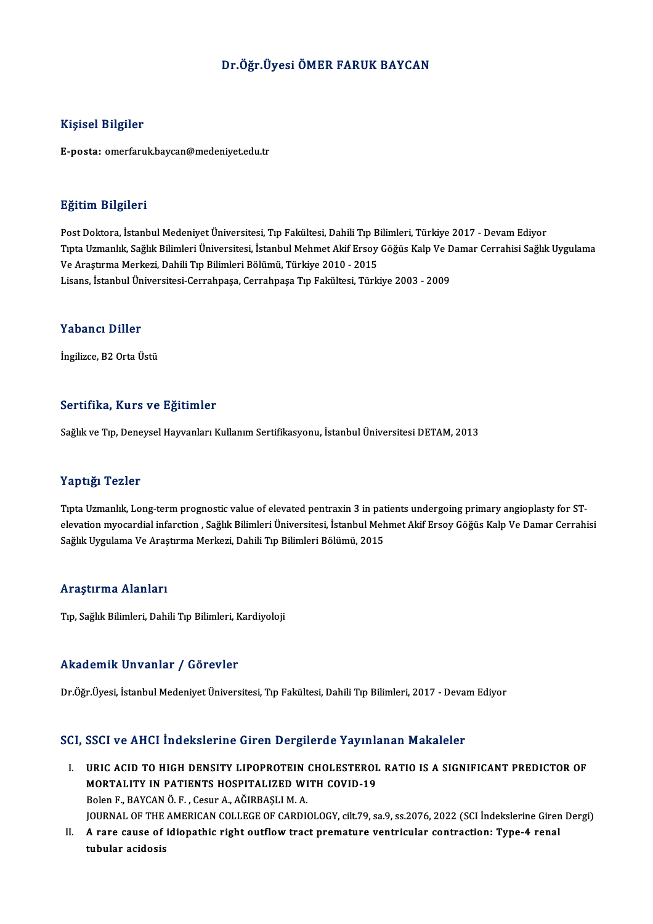#### Dr.Öğr.ÜyesiÖMER FARUK BAYCAN

#### Kişisel Bilgiler

E-posta: omerfaruk.baycan@medeniyet.edu.tr

#### Eğitim Bilgileri

<mark>Eğitim Bilgileri</mark><br>Post Doktora, İstanbul Medeniyet Üniversitesi, Tıp Fakültesi, Dahili Tıp Bilimleri, Türkiye 2017 - Devam Ediyor<br>Tınta Hamanlık Sağlık Bilimleri Üniversitesi, İstanbul Mehmet Akif Ersey Göğüs Keln Ve Dama Tıpta Uzmanlık, Sağlık Bilimleri Üniversitesi, İstanbul Mehmet Akif Ersoy Göğüs Kalp Ve Damar Cerrahisi Sağlık Uygulama<br>Ve Araştırma Merkezi, Dahili Tıp Bilimleri Bölümü, Türkiye 2010 - 2015 Post Doktora, İstanbul Medeniyet Üniversitesi, Tıp Fakültesi, Dahili Tıp B<br>Tıpta Uzmanlık, Sağlık Bilimleri Üniversitesi, İstanbul Mehmet Akif Ersoy<br>Ve Araştırma Merkezi, Dahili Tıp Bilimleri Bölümü, Türkiye 2010 - 2015<br>Li Lisans, İstanbulÜniversitesi-Cerrahpaşa,CerrahpaşaTıp Fakültesi,Türkiye 2003 -2009

#### Yabancı Diller

İngilizce, B2 Orta Üstü

#### Sertifika, Kurs ve Eğitimler

Sağlık ve Tıp, Deneysel Hayvanları Kullanım Sertifikasyonu, İstanbul Üniversitesi DETAM, 2013

#### Yaptığı Tezler

Yaptığı Tezler<br>Tıpta Uzmanlık, Long-term prognostic value of elevated pentraxin 3 in patients undergoing primary angioplasty for ST-<br>elevation myasardial inforation, Soğluk Bilimleri Üniversitesi, İstanbul Mehmet Altif Ers elevation myocardial infarction , Sağlık Bilimleri Üniversitesi, İstanbul Mehmet Akif Ersoy Göğüs Kalp Ve Damar Cerrahisi<br>Sağlık Uygulama Ve Araştırma Merkezi, Dahili Tıp Bilimleri Bölümü, 2015 Tıpta Uzmanlık, Long-term prognostic value of elevated pentraxin 3 in pat<br>elevation myocardial infarction , Sağlık Bilimleri Üniversitesi, İstanbul Meh<br>Sağlık Uygulama Ve Araştırma Merkezi, Dahili Tıp Bilimleri Bölümü, 201

#### Araştırma Alanları

Tıp, Sağlık Bilimleri, Dahili Tıp Bilimleri, Kardiyoloji

#### Akademik Unvanlar / Görevler

Dr.Öğr.Üyesi, İstanbul Medeniyet Üniversitesi, Tıp Fakültesi, Dahili Tıp Bilimleri, 2017 - Devam Ediyor

#### SCI, SSCI ve AHCI İndekslerine Giren Dergilerde Yayınlanan Makaleler

- CI, SSCI ve AHCI İndekslerine Giren Dergilerde Yayınlanan Makaleler<br>I. URIC ACID TO HIGH DENSITY LIPOPROTEIN CHOLESTEROL RATIO IS A SIGNIFICANT PREDICTOR OF<br>MORTALITY IN RATIENTS HOSPITALIZED WITH COVID 19 DOGT VOTHICH HIGHDICHING GIFOR DEFENCTION THAN<br>URIC ACID TO HIGH DENSITY LIPOPROTEIN CHOLESTEROL<br>MORTALITY IN PATIENTS HOSPITALIZED WITH COVID-19 MORTALITY IN PATIENTS HOSPITALIZED WITH COVID-19<br>Bolen F., BAYCAN Ö. F., Cesur A., AĞIRBASLI M. A. JOURNAL OF THE AMERICAN COLLEGE OF CARDIOLOGY, cilt.79, sa.9, ss.2076, 2022 (SCI İndekslerine Giren Dergi) Bolen F., BAYCAN Ö. F. , Cesur A., AĞIRBAŞLI M. A.<br>JOURNAL OF THE AMERICAN COLLEGE OF CARDIOLOGY, cilt.79, sa.9, ss.2076, 2022 (SCI İndekslerine Giren<br>II. A rare cause of idiopathic right outflow tract premature ventri
- JOURNAL OF THE<br>A rare cause of<br>tubular acidosis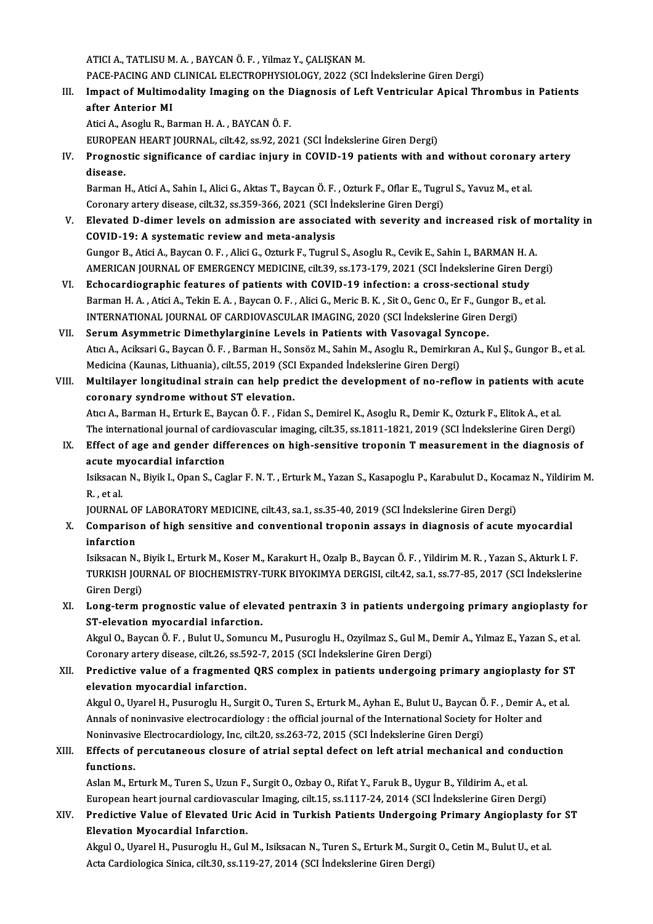ATICI A., TATLISU M. A., BAYCAN Ö. F., Yilmaz Y., ÇALIŞKAN M.

ATICI A., TATLISU M. A. , BAYCAN Ö. F. , Yilmaz Y., ÇALIŞKAN M.<br>PACE-PACING AND CLINICAL ELECTROPHYSIOLOGY, 2022 (SCI İndekslerine Giren Dergi)<br>Impact of Multimodelity Imaging en the Diagnagie of Left Ventricular Anicel Th

III. Impact of Multimodality Imaging on the Diagnosis of Left Ventricular Apical Thrombus in Patients after Anterior MI PACE-PACING AND<br>Impact of Multime<br>after Anterior MI

Atici A., Asoglu R., Barman H. A., BAYCAN Ö. F.

EUROPEAN HEART JOURNAL, cilt.42, ss.92, 2021 (SCI İndekslerine Giren Dergi)

Atici A., Asoglu R., Barman H. A. , BAYCAN Ö. F.<br>EUROPEAN HEART JOURNAL, cilt.42, ss.92, 2021 (SCI İndekslerine Giren Dergi)<br>IV. Prognostic significance of cardiac injury in COVID-19 patients with and without coronary EUROPEA<br>Prognos<br>disease. Prognostic significance of cardiac injury in COVID-19 patients with and without coronary<br>disease.<br>Barman H., Atici A., Sahin I., Alici G., Aktas T., Baycan Ö. F. , Ozturk F., Oflar E., Tugrul S., Yavuz M., et al.<br>Caronary

disease.<br>Barman H., Atici A., Sahin I., Alici G., Aktas T., Baycan Ö. F. , Ozturk F., Oflar E., Tugri<br>Coronary artery disease, cilt.32, ss.359-366, 2021 (SCI İndekslerine Giren Dergi)<br>Flavated D. dimar lavals an admission

- Barman H., Atici A., Sahin I., Alici G., Aktas T., Baycan Ö. F. , Ozturk F., Oflar E., Tugrul S., Yavuz M., et al.<br>Coronary artery disease, cilt.32, ss.359-366, 2021 (SCI İndekslerine Giren Dergi)<br>V. Elevated D-dimer level Coronary artery disease, cilt.32, ss.359-366, 2021 (SCI in<br>Elevated D-dimer levels on admission are associat<br>COVID-19: A systematic review and meta-analysis<br>Cunger B. Atisi A. Baysan O. E., Alisi C. Orturk E. Tugnul Gungor B., Atici A., Baycan O. F., Alici G., Ozturk F., Tugrul S., Asoglu R., Cevik E., Sahin I., BARMAN H. A. COVID-19: A systematic review and meta-analysis<br>Gungor B., Atici A., Baycan O. F. , Alici G., Ozturk F., Tugrul S., Asoglu R., Cevik E., Sahin I., BARMAN H. A<br>AMERICAN JOURNAL OF EMERGENCY MEDICINE, cilt.39, ss.173-179, 20 Gungor B., Atici A., Baycan O. F., Alici G., Ozturk F., Tugrul S., Asoglu R., Cevik E., Sahin I., BARMAN H. A<br>AMERICAN JOURNAL OF EMERGENCY MEDICINE, cilt.39, ss.173-179, 2021 (SCI Indekslerine Giren D.<br>VI. Echocardiograph
- AMERICAN JOURNAL OF EMERGENCY MEDICINE, cilt.39, ss.173-179, 2021 (SCI İndekslerine Giren Derg<br>Echocardiographic features of patients with COVID-19 infection: a cross-sectional study<br>Barman H. A. , Atici A., Tekin E. A. , Echocardiographic features of patients with COVID-19 infection: a cross-sectional student and H.A., Atici A., Tekin E.A., Baycan O. F., Alici G., Meric B.K., Sit O., Genc O., Er F., Gungor B.<br>INTERNATIONAL JOURNAL OF CARDI Barman H. A., Atici A., Tekin E. A., Baycan O. F., Alici G., Meric B. K., Sit O., Genc O., Er F., Gui<br>INTERNATIONAL JOURNAL OF CARDIOVASCULAR IMAGING, 2020 (SCI Indekslerine Giren)<br>VII. Serum Asymmetric Dimethylarginine Le
- INTERNATIONAL JOURNAL OF CARDIOVASCULAR IMAGING, 2020 (SCI İndekslerine Giren Dergi)<br>Serum Asymmetric Dimethylarginine Levels in Patients with Vasovagal Syncope.<br>Atıcı A., Aciksari G., Baycan Ö. F. , Barman H., Sonsöz M., Serum Asymmetric Dimethylarginine Levels in Patients with Vasovagal Syn<br>Atıcı A., Aciksari G., Baycan Ö. F. , Barman H., Sonsöz M., Sahin M., Asoglu R., Demirkıra<br>Medicina (Kaunas, Lithuania), cilt.55, 2019 (SCI Expanded İ Atıcı A., Aciksari G., Baycan Ö. F. , Barman H., Sonsöz M., Sahin M., Asoglu R., Demirkıran A., Kul Ş., Gungor B., et al.<br>Medicina (Kaunas, Lithuania), cilt.55, 2019 (SCI Expanded Indekslerine Giren Dergi)<br>VIII. Multilayer
- Medicina (Kaunas, Lithuania), cilt.55, 2019 (SCI Expanded İndekslerine Giren Dergi)<br>Multilayer longitudinal strain can help predict the development of no-reflow in patients with acute<br>coronary syndrome without ST elevation Multilayer longitudinal strain can help predict the development of no-reflow in patients with a<br>coronary syndrome without ST elevation.<br>Atıcı A., Barman H., Erturk E., Baycan Ö. F. , Fidan S., Demirel K., Asoglu R., Demir coronary syndrome without ST elevation.<br>Atıcı A., Barman H., Erturk E., Baycan Ö. F. , Fidan S., Demirel K., Asoglu R., Demir K., Ozturk F., Elitok A., et al.<br>The international journal of cardiovascular imaging, cilt.35, s The international journal of cardiovascular imaging, cilt.35, ss.1811-1821, 2019 (SCI İndekslerine Giren Dergi)
- IX. Effect of age and gender differences on high-sensitive troponin T measurement in the diagnosis of acute myocardial infarction Effect of age and gender differences on high-sensitive troponin T measurement in the diagnosis of<br>acute myocardial infarction<br>Isiksacan N., Biyik I., Opan S., Caglar F. N. T. , Erturk M., Yazan S., Kasapoglu P., Karabulut

a<mark>cute m</mark><br>Isiksacar<br>R., et al.<br>IOUPNAI Isiksacan N., Biyik I., Opan S., Caglar F. N. T. , Erturk M., Yazan S., Kasapoglu P., Karabulut D., Kocam<br>R. , et al.<br>JOURNAL OF LABORATORY MEDICINE, cilt.43, sa.1, ss.35-40, 2019 (SCI İndekslerine Giren Dergi)<br>Comparison

JOURNAL OF LABORATORY MEDICINE, cilt.43, sa.1, ss.35-40, 2019 (SCI İndekslerine Giren Dergi)

R. , et al.<br>JOURNAL OF LABORATORY MEDICINE, cilt.43, sa.1, ss.35-40, 2019 (SCI İndekslerine Giren Dergi)<br>X. Comparison of high sensitive and conventional troponin assays in diagnosis of acute myocardial<br>infarction Comparison of high sensitive and conventional troponin assays in diagnosis of acute myocardial<br>infarction<br>Isiksacan N., Biyik I., Erturk M., Koser M., Karakurt H., Ozalp B., Baycan Ö. F. , Yildirim M. R. , Yazan S., Akturk

infarction<br>Isiksacan N., Biyik I., Erturk M., Koser M., Karakurt H., Ozalp B., Baycan Ö. F. , Yildirim M. R. , Yazan S., Akturk I. F.<br>TURKISH JOURNAL OF BIOCHEMISTRY-TURK BIYOKIMYA DERGISI, cilt.42, sa.1, ss.77-85, 2017 (S Isiksacan N., I<br>TURKISH JOU<br>Giren Dergi)<br>Long term 1 TURKISH JOURNAL OF BIOCHEMISTRY-TURK BIYOKIMYA DERGISI, cilt.42, sa.1, ss.77-85, 2017 (SCI İndekslerine<br>Giren Dergi)<br>XI. Long-term prognostic value of elevated pentraxin 3 in patients undergoing primary angioplasty for<br>ST

# Giren Dergi)<br>Long-term prognostic value of elev<br>ST-elevation myocardial infarction.<br>Alvul O. Baygan Ö. E., Bulut U. Samung Long-term prognostic value of elevated pentraxin 3 in patients undergoing primary angioplasty fo<br>ST-elevation myocardial infarction.<br>Akgul O., Baycan Ö. F. , Bulut U., Somuncu M., Pusuroglu H., Ozyilmaz S., Gul M., Demir A

ST-elevation myocardial infarction.<br>Akgul O., Baycan Ö. F. , Bulut U., Somuncu M., Pusuroglu H., Ozyilmaz S., Gul M., I<br>Coronary artery disease, cilt.26, ss.592-7, 2015 (SCI İndekslerine Giren Dergi)<br>Predistive value of a

Akgul O., Baycan Ö. F. , Bulut U., Somuncu M., Pusuroglu H., Ozyilmaz S., Gul M., Demir A., Yılmaz E., Yazan S., et al.<br>Coronary artery disease, cilt.26, ss.592-7, 2015 (SCI Indekslerine Giren Dergi)<br>XII. Predictive value Coronary artery disease, cilt.26, ss.59<br>Predictive value of a fragmented<br>elevation myocardial infarction.<br>Algul O. Hyarel H. Busuregh: H. Sur Predictive value of a fragmented QRS complex in patients undergoing primary angioplasty for S'<br>elevation myocardial infarction.<br>Akgul O., Uyarel H., Pusuroglu H., Surgit O., Turen S., Erturk M., Ayhan E., Bulut U., Baycan

elevation myocardial infarction.<br>Akgul O., Uyarel H., Pusuroglu H., Surgit O., Turen S., Erturk M., Ayhan E., Bulut U., Baycan Ö. F. , Demir A.<br>Annals of noninvasive electrocardiology : the official journal of the Internat Akgul O., Uyarel H., Pusuroglu H., Surgit O., Turen S., Erturk M., Ayhan E., Bulut U., Baycan Ö<br>Annals of noninvasive electrocardiology : the official journal of the International Society fo<br>Noninvasive Electrocardiology,

## Annals of noninvasive electrocardiology : the official journal of the International Society for Holter and<br>Noninvasive Electrocardiology, Inc, cilt.20, ss.263-72, 2015 (SCI Indekslerine Giren Dergi)<br>XIII. Effects of percut Noninvasive Electrocardiology, Inc, cilt.20, ss.263-72, 2015 (SCI İndekslerine Giren Dergi)<br>Effects of percutaneous closure of atrial septal defect on left atrial mechanical and conc<br>functions.<br>Aslan M., Erturk M., Turen S Effects of percutaneous closure of atrial septal defect on left atrial mechanical and conduction

Europeanheart journal cardiovascular Imaging, cilt.15, ss.1117-24,2014 (SCI İndekslerineGirenDergi) Aslan M., Erturk M., Turen S., Uzun F., Surgit O., Ozbay O., Rifat Y., Faruk B., Uygur B., Yildirim A., et al.<br>European heart journal cardiovascular Imaging, cilt.15, ss.1117-24, 2014 (SCI İndekslerine Giren Dergi)<br>XIV. Pr

European heart journal cardiovascul<br>Predictive Value of Elevated Urion<br>Elevation Myocardial Infarction.<br>Algul O. Uropel H. Busuneglu H. Cul Predictive Value of Elevated Uric Acid in Turkish Patients Undergoing Primary Angioplasty fo<br>Elevation Myocardial Infarction.<br>Akgul O., Uyarel H., Pusuroglu H., Gul M., Isiksacan N., Turen S., Erturk M., Surgit O., Cetin M

**Elevation Myocardial Infarction.**<br>Akgul O., Uyarel H., Pusuroglu H., Gul M., Isiksacan N., Turen S., Erturk M., Surgit O., Cetin M., Bulut U., et al.<br>Acta Cardiologica Sinica, cilt.30, ss.119-27, 2014 (SCI İndekslerine Gi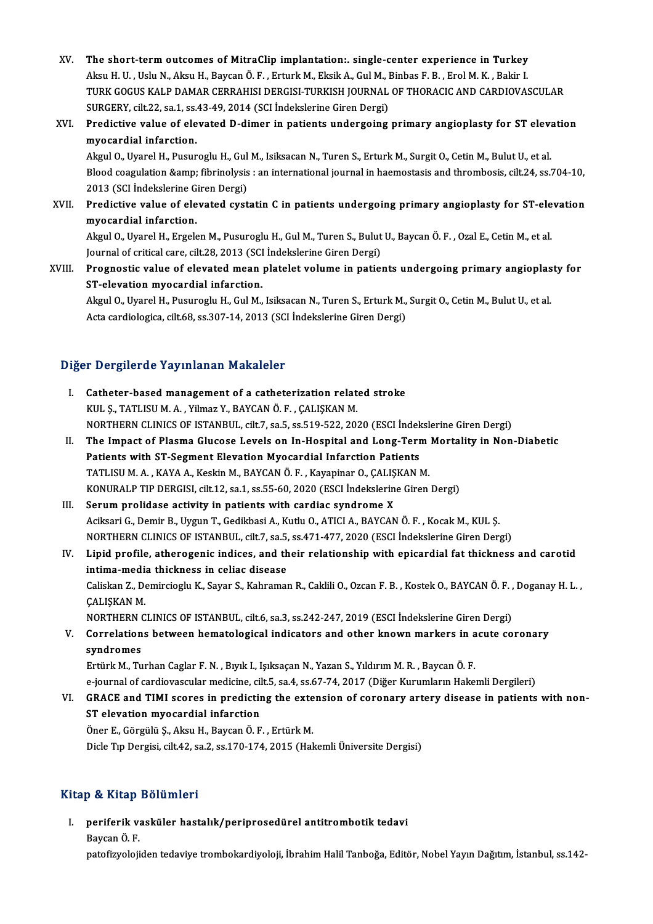- XV. The short-term outcomes of MitraClip implantation:. single-center experience in Turkey<br>Alroy H. H. Hely N. Alroy H. Baycan Ö. E. Erturk M. Eksik A. Gul M. Binbas E. B. Erel M. K. Bakin L. The short-term outcomes of MitraClip implantation:. single-center experience in Turkey<br>Aksu H. U. , Uslu N., Aksu H., Baycan Ö. F. , Erturk M., Eksik A., Gul M., Binbas F. B. , Erol M. K. , Bakir I<br>TURK COCUS KALR DAMAR CE TURK GOGUS KALP DAMAR CERRAHISI DERGISI-TURKISH JOURNAL OF THORACIC AND CARDIOVASCULAR<br>SURGERY, cilt.22, sa.1, ss.43-49, 2014 (SCI İndekslerine Giren Dergi) Aksu H. U., Uslu N., Aksu H., Baycan Ö. F., Erturk M., Eksik A., Gul M., Binbas F. B., Erol M. K., Bakir I. TURK GOGUS KALP DAMAR CERRAHISI DERGISI-TURKISH JOURNAL OF THORACIC AND CARDIOVASCULAR<br>SURGERY, cilt.22, sa.1, ss.43-49, 2014 (SCI Indekslerine Giren Dergi)<br>XVI. Predictive value of elevated D-dimer in patients undergoing
- myocardial infarction. Predictive value of elevated D-dimer in patients undergoing primary angioplasty for ST elevanty<br>myocardial infarction.<br>Akgul O., Uyarel H., Pusuroglu H., Gul M., Isiksacan N., Turen S., Erturk M., Surgit O., Cetin M., Bulu

**myocardial infarction.**<br>Akgul O., Uyarel H., Pusuroglu H., Gul M., Isiksacan N., Turen S., Erturk M., Surgit O., Cetin M., Bulut U., et al.<br>Blood coagulation &amp; fibrinolysis : an international journal in haemostasis an Akgul O., Uyarel H., Pusuroglu H., Gul<br>Blood coagulation &amp; fibrinolysis<br>2013 (SCI İndekslerine Giren Dergi)<br>Prodistive value of elevated syst Blood coagulation & fibrinolysis : an international journal in haemostasis and thrombosis, cilt.24, ss.704-10,<br>2013 (SCI İndekslerine Giren Dergi)<br>XVII. Predictive value of elevated cystatin C in patients undergoing pr

2013 (SCI Indekslerine G<br>Predictive value of ele<br>myocardial infarction.<br>Algul O. Uvarel H. Excels Predictive value of elevated cystatin C in patients undergoing primary angioplasty for ST-ele<br>myocardial infarction.<br>Akgul O., Uyarel H., Ergelen M., Pusuroglu H., Gul M., Turen S., Bulut U., Baycan Ö. F. , Ozal E., Cetin

myocardial infarction.<br>Akgul O., Uyarel H., Ergelen M., Pusuroglu H., Gul M., Turen S., Bulut U., Baycan Ö. F. , Ozal E., Cetin M., et al.<br>Journal of critical care, cilt.28, 2013 (SCI İndekslerine Giren Dergi) Akgul O., Uyarel H., Ergelen M., Pusuroglu H., Gul M., Turen S., Bulut U., Baycan Ö. F. , Ozal E., Cetin M., et al.<br>Journal of critical care, cilt.28, 2013 (SCI İndekslerine Giren Dergi)<br>XVIII. Prognostic value of elevated

Journal of critical care, cilt.28, 2013 (SCI)<br>Prognostic value of elevated mean<br>ST-elevation myocardial infarction.<br>Algul O. Uranel H. Busuneglu H. Gul M. Prognostic value of elevated mean platelet volume in patients undergoing primary angioplas<br>ST-elevation myocardial infarction.<br>Akgul O., Uyarel H., Pusuroglu H., Gul M., Isiksacan N., Turen S., Erturk M., Surgit O., Cetin

ST-elevation myocardial infarction.<br>Akgul O., Uyarel H., Pusuroglu H., Gul M., Isiksacan N., Turen S., Erturk M., Surgit O., Cetin M., Bulut U., et al.<br>Acta cardiologica, cilt.68, ss.307-14, 2013 (SCI İndekslerine Giren De

### Diğer Dergilerde Yayınlanan Makaleler

- I. Catheter-basedmanagement of a catheterization related stroke KUL Ş., TATLISU M. A., Yilmaz Y., BAYCAN Ö. F., ÇALIŞKAN M. NORTHERNCLINICSOF ISTANBUL, cilt.7, sa.5, ss.519-522,2020 (ESCI İndekslerineGirenDergi)
- II. The Impact of Plasma Glucose Levels on In-Hospital and Long-Term Mortality in Non-Diabetic Patients with ST-Segment Elevation Myocardial Infarction Patients The Impact of Plasma Glucose Levels on In-Hospital and Long-Term<br>Patients with ST-Segment Elevation Myocardial Infarction Patients<br>TATLISU M. A. , KAYA A., Keskin M., BAYCAN Ö. F. , Kayapinar O., ÇALIŞKAN M.<br>KONURALE TIP D KONURALP TIP DERGISI, cilt.12, sa.1, ss.55-60, 2020 (ESCI İndekslerine Giren Dergi)<br>Serum prolidase activity in patients with cardiac syndrome X TATLISU M. A., KAYA A., Keskin M., BAYCAN Ö. F., Kayapinar O., ÇALIŞ<br>KONURALP TIP DERGISI, cilt.12, sa.1, ss.55-60, 2020 (ESCI İndekslerin<br>III. Serum prolidase activity in patients with cardiac syndrome X<br>Acileari C. Demir
- KONURALP TIP DERGISI, cilt.12, sa.1, ss.55-60, 2020 (ESCI İndekslerine Giren Dergi)<br>Serum prolidase activity in patients with cardiac syndrome X<br>Aciksari G., Demir B., Uygun T., Gedikbasi A., Kutlu O., ATICI A., BAYCAN Ö. Serum prolidase activity in patients with cardiac syndrome X<br>Aciksari G., Demir B., Uygun T., Gedikbasi A., Kutlu O., ATICI A., BAYCAN Ö. F. , Kocak M., KUL Ș.<br>NORTHERN CLINICS OF ISTANBUL, cilt.7, sa.5, ss.471-477, 2020 ( NORTHERN CLINICS OF ISTANBUL, cilt.7, sa.5, ss.471-477, 2020 (ESCI Indekslerine Giren Dergi)
- IV. Lipid profile, atherogenic indices, and their relationship with epicardial fat thickness and carotid Lipid profile, atherogenic indices, and their relationship with epicardial fat thickness and carotid<br>intima-media thickness in celiac disease<br>Caliskan Z., Demircioglu K., Sayar S., Kahraman R., Caklili O., Ozcan F. B. , Ko i<mark>ntima-medi</mark><br>Caliskan Z., De<br>ÇALIŞKAN M.<br>NOPTHEPN C Caliskan Z., Demircioglu K., Sayar S., Kahraman R., Caklili O., Ozcan F. B. , Kostek O., BAYCAN Ö. F. ,<br>ÇALIŞKAN M.<br>NORTHERN CLINICS OF ISTANBUL, cilt.6, sa.3, ss.242-247, 2019 (ESCI İndekslerine Giren Dergi)<br>Correlations CALISKAN M.<br>NORTHERN CLINICS OF ISTANBUL, cilt.6, sa.3, ss.242-247, 2019 (ESCI İndekslerine Giren Dergi)<br>V. Correlations between hematological indicators and other known markers in acute coronary<br>syndromes
- NORTHERN<br>Correlation<br>syndromes<br>Ertürk M. Tu V. Correlations between hematological indicators and other known markers in acute coronary<br>syndromes<br>Ertürk M., Turhan Caglar F. N. , Bıyık I., Işıksaçan N., Yazan S., Yıldırım M. R. , Baycan Ö. F.

<mark>syndromes</mark><br>Ertürk M., Turhan Caglar F. N. , Bıyık I., Işıksaçan N., Yazan S., Yıldırım M. R. , Baycan Ö. F.<br>e-journal of cardiovascular medicine, cilt.5, sa.4, ss.67-74, 2017 (Diğer Kurumların Hakemli Dergileri)<br>C.B.A.C.E

Ertürk M., Turhan Caglar F. N. , Bıyık I., Işıksaçan N., Yazan S., Yıldırım M. R. , Baycan Ö. F.<br>e-journal of cardiovascular medicine, cilt.5, sa.4, ss.67-74, 2017 (Diğer Kurumların Hakemli Dergileri)<br>VI. GRACE and TIMI sc e-journal of cardiovascular medicine, cil<br>GRACE and TIMI scores in predictin<br>ST elevation myocardial infarction<br>Öner E. Görgülü S. Algu H. Baycan Ö. E GRACE and TIMI scores in predicting the exte<br>ST elevation myocardial infarction<br>Öner E., Görgülü Ş., Aksu H., Baycan Ö. F. , Ertürk M.<br>Disle T:n Dergisi, silt 42, sa 2, sa 170, 174, 2015 (Hal

ST elevation myocardial infarction<br>Öner E., Görgülü Ş., Aksu H., Baycan Ö. F. , Ertürk M.<br>Dicle Tıp Dergisi, cilt.42, sa.2, ss.170-174, 2015 (Hakemli Üniversite Dergisi)

#### Kitap & Kitap Bölümleri

I. periferik vasküler hastalık/periprosedürel antitrombotik tedavi p <del>ox kkup</del><br>periferik v:<br>Baycan Ö. F.<br>patefizyeleji

Baycan Ö. F.<br>patofizyolojiden tedaviye trombokardiyoloji, İbrahim Halil Tanboğa, Editör, Nobel Yayın Dağıtım, İstanbul, ss.142-